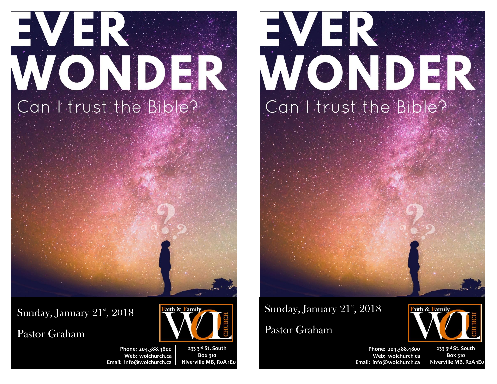# EVER WONDER Can I trust the Bible?

Sunday, January 21st, 2018

Pastor Graham



**233 3rd St. South Box 310 Niverville MB, R0A 1E0**

Faith & Family

# EVER WONDER Can I trust the Bible?

# Sunday, January 21st, 2018

## Pastor Graham



**Phone: 204.388.4800 Web: wolchurch.ca Email: [info@wolchurch.ca](mailto:info@wolchurch.ca)**

**233 3rd St. South Box 310 Niverville MB, R0A 1E0**